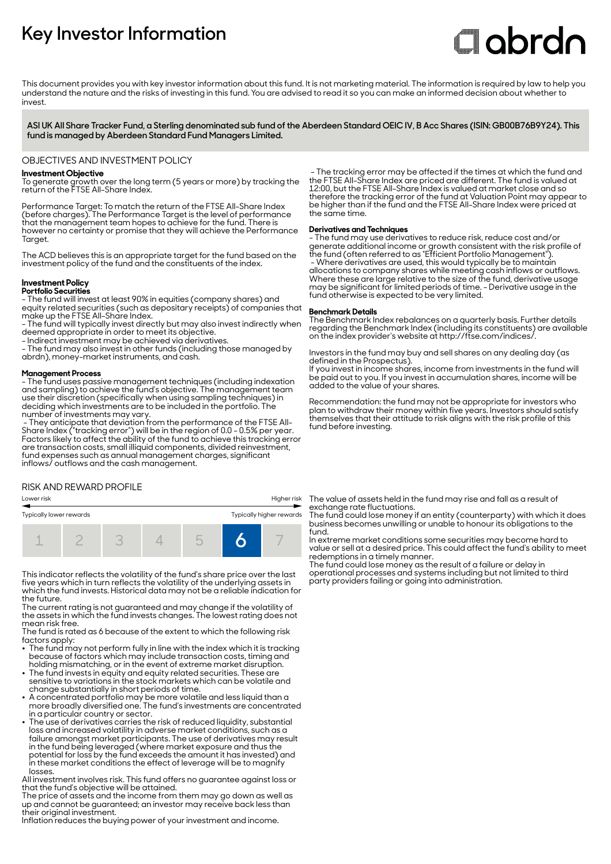# **Key Investor Information**

# **Clobrdn**

This document provides you with key investor information about this fund. It is not marketing material. The information is required by law to help you understand the nature and the risks of investing in this fund. You are advised to read it so you can make an informed decision about whether to invest

**ASI UK All Share Tracker Fund, a Sterling denominated sub fund of the Aberdeen Standard OEIC IV, B Acc Shares (ISIN: GB00B76B9Y24). This fund is managed by Aberdeen Standard Fund Managers Limited.**

#### OBJECTIVES AND INVESTMENT POLICY

#### **Investment Objective**

To generate growth over the long term (5 years or more) by tracking the return of the FTSE All-Share Index.

Performance Target: To match the return of the FTSE All-Share Index (before charges). The Performance Target is the level of performance that the management team hopes to achieve for the fund. There is however no certainty or promise that they will achieve the Performance Taraet.

The ACD believes this is an appropriate target for the fund based on the investment policy of the fund and the constituents of the index.

#### **Investment Policy Portfolio Securities**

- The fund will invest at least 90% in equities (company shares) and equity related securities (such as depositary receipts) of companies that make up the FTSE All-Share Index.

- The fund will typically invest directly but may also invest indirectly when deemed appropriate in order to meet its objective.

- Indirect investment may be achieved via derivatives.

- The fund may also invest in other funds (including those managed by abrdn), money-market instruments, and cash.

#### **Management Process**

- The fund uses passive management techniques (including indexation and sampling) to achieve the fund's objective. The management team use their discretion (specifically when using sampling techniques) in deciding which investments are to be included in the portfolio. The number of investments may vary.

 - They anticipate that deviation from the performance of the FTSE All-Share Index ("tracking error") will be in the region of 0.0 - 0.5% per year. Factors likely to affect the ability of the fund to achieve this tracking error are transaction costs, small illiquid components, divided reinvestment, fund expenses such as annual management charges, significant inflows/ outflows and the cash management.

#### RISK AND REWARD PROFILE

| Typically lower rewards |  |  |  |  | Typically higher rewards |  |
|-------------------------|--|--|--|--|--------------------------|--|
|                         |  |  |  |  |                          |  |

This indicator reflects the volatility of the fund's share price over the last five years which in turn reflects the volatility of the underlying assets in which the fund invests. Historical data may not be a reliable indication for the future.

The current rating is not guaranteed and may change if the volatility of the assets in which the fund invests changes. The lowest rating does not mean risk free.

The fund is rated as 6 because of the extent to which the following risk factors apply: 2 The fund may not perform fully in line with the index which it is tracking

- because of factors which may include transaction costs, timing and holding mismatching, or in the event of extreme market disruption.
- The fund invests in equity and equity related securities. These are sensitive to variations in the stock markets which can be volatile and
- change substantially in short periods of time. 2 A concentrated portfolio may be more volatile and less liquid than a more broadly diversified one. The fund's investments are concentrated in a particular country or sector.
- The use of derivatives carries the risk of reduced liquidity, substantial loss and increased volatility in adverse market conditions, such as a failure amongst market participants. The use of derivatives may result in the fund being leveraged (where market exposure and thus the potential for loss by the fund exceeds the amount it has invested) and in these market conditions the effect of leverage will be to magnify losses.

All investment involves risk. This fund offers no guarantee against loss or that the fund's objective will be attained.

The price of assets and the income from them may go down as well as up and cannot be guaranteed; an investor may receive back less than their original investment.

Inflation reduces the buying power of your investment and income.

 - The tracking error may be affected if the times at which the fund and the FTSE All-Share Index are priced are different. The fund is valued at 12:00, but the FTSE All-Share Index is valued at market close and so therefore the tracking error of the fund at Valuation Point may appear to be higher than if the fund and the FTSE All-Share Index were priced at the same time.

#### **Derivatives and Techniques**

- The fund may use derivatives to reduce risk, reduce cost and/or generate additional income or growth consistent with the risk profile of the fund (often referred to as "Efficient Portfolio Management"). - Where derivatives are used, this would typically be to maintain allocations to company shares while meeting cash inflows or outflows. Where these are large relative to the size of the fund, derivative usage may be significant for limited periods of time. - Derivative usage in the fund otherwise is expected to be very limited.

#### **Benchmark Details**

The Benchmark Index rebalances on a quarterly basis. Further details regarding the Benchmark Index (including its constituents) are available on the index provider's website at http://ftse.com/indices/.

Investors in the fund may buy and sell shares on any dealing day (as defined in the Prospectus).

If you invest in income shares, income from investments in the fund will be paid out to you. If you invest in accumulation shares, income will be added to the value of your shares.

Recommendation: the fund may not be appropriate for investors who plan to withdraw their money within five years. Investors should satisfy themselves that their attitude to risk aligns with the risk profile of this fund before investing.

Lower risk Higher risk The value of assets held in the fund may rise and fall as a result of exchange rate fluctuations.

The fund could lose money if an entity (counterparty) with which it does business becomes unwilling or unable to honour its obligations to the fund.

In extreme market conditions some securities may become hard to value or sell at a desired price. This could affect the fund's ability to meet redemptions in a timely manner.

The fund could lose money as the result of a failure or delay in operational processes and systems including but not limited to third party providers failing or going into administration.